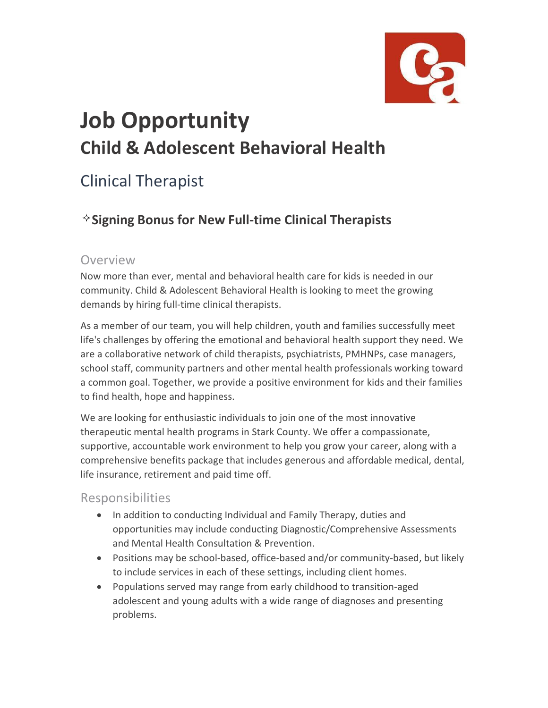

# **Job Opportunity Child & Adolescent Behavioral Health**

## Clinical Therapist

### **Signing Bonus for New Full-time Clinical Therapists**

#### Overview

Now more than ever, mental and behavioral health care for kids is needed in our community. Child & Adolescent Behavioral Health is looking to meet the growing demands by hiring full-time clinical therapists.

As a member of our team, you will help children, youth and families successfully meet life's challenges by offering the emotional and behavioral health support they need. We are a collaborative network of child therapists, psychiatrists, PMHNPs, case managers, school staff, community partners and other mental health professionals working toward a common goal. Together, we provide a positive environment for kids and their families to find health, hope and happiness.

We are looking for enthusiastic individuals to join one of the most innovative therapeutic mental health programs in Stark County. We offer a compassionate, supportive, accountable work environment to help you grow your career, along with a comprehensive benefits package that includes generous and affordable medical, dental, life insurance, retirement and paid time off.

#### Responsibilities

- In addition to conducting Individual and Family Therapy, duties and opportunities may include conducting Diagnostic/Comprehensive Assessments and Mental Health Consultation & Prevention.
- Positions may be school-based, office-based and/or community-based, but likely to include services in each of these settings, including client homes.
- Populations served may range from early childhood to transition-aged adolescent and young adults with a wide range of diagnoses and presenting problems.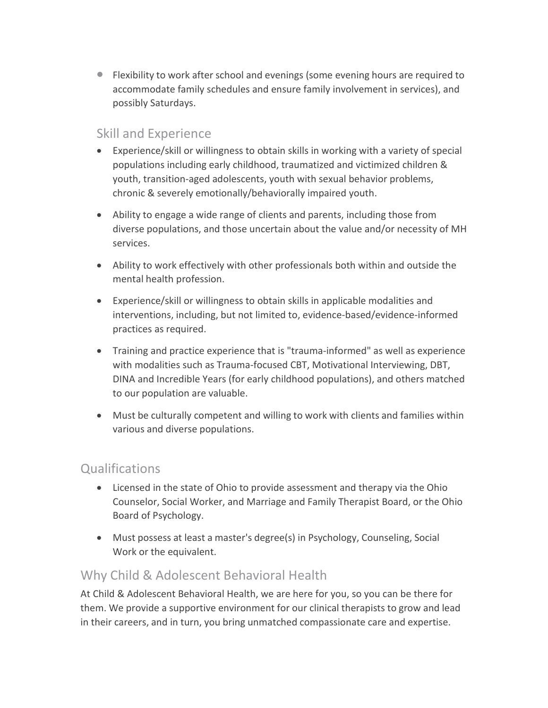• Flexibility to work after school and evenings (some evening hours are required to accommodate family schedules and ensure family involvement in services), and possibly Saturdays.

#### Skill and Experience

- Experience/skill or willingness to obtain skills in working with a variety of special populations including early childhood, traumatized and victimized children & youth, transition-aged adolescents, youth with sexual behavior problems, chronic & severely emotionally/behaviorally impaired youth.
- Ability to engage a wide range of clients and parents, including those from diverse populations, and those uncertain about the value and/or necessity of MH services.
- Ability to work effectively with other professionals both within and outside the mental health profession.
- Experience/skill or willingness to obtain skills in applicable modalities and interventions, including, but not limited to, evidence-based/evidence-informed practices as required.
- Training and practice experience that is "trauma-informed" as well as experience with modalities such as Trauma-focused CBT, Motivational Interviewing, DBT, DINA and Incredible Years (for early childhood populations), and others matched to our population are valuable.
- Must be culturally competent and willing to work with clients and families within various and diverse populations.

#### **Qualifications**

- Licensed in the state of Ohio to provide assessment and therapy via the Ohio Counselor, Social Worker, and Marriage and Family Therapist Board, or the Ohio Board of Psychology.
- Must possess at least a master's degree(s) in Psychology, Counseling, Social Work or the equivalent.

#### Why Child & Adolescent Behavioral Health

At Child & Adolescent Behavioral Health, we are here for you, so you can be there for them. We provide a supportive environment for our clinical therapists to grow and lead in their careers, and in turn, you bring unmatched compassionate care and expertise.